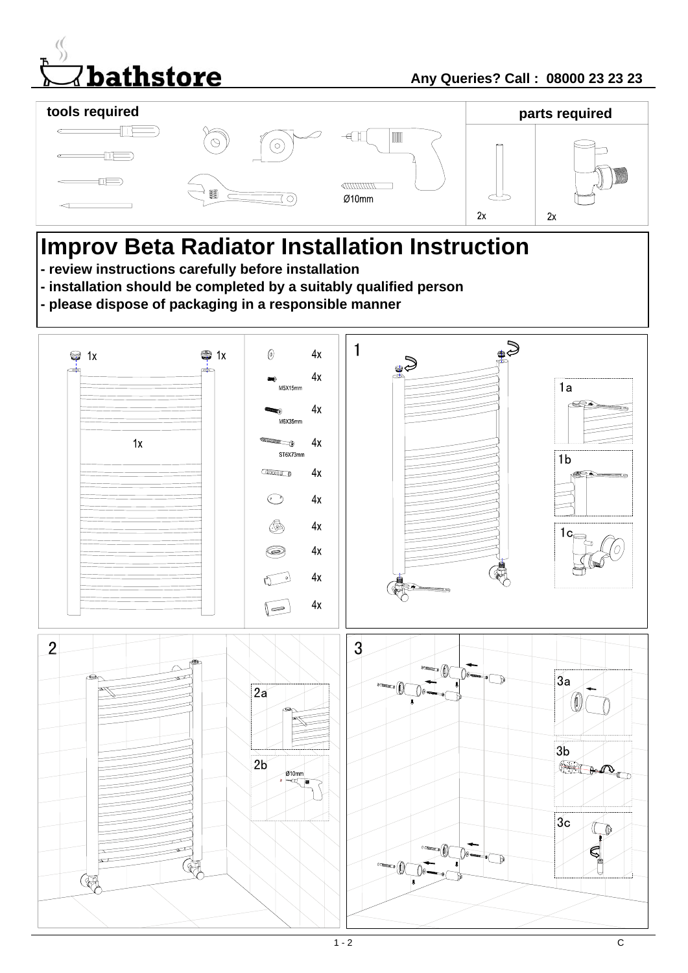



# **Improv Beta Radiator Installation Instruction**

- **review instructions carefully before installation**
- **installation should be completed by a suitably qualified person**
- **please dispose of packaging in a responsible manner**